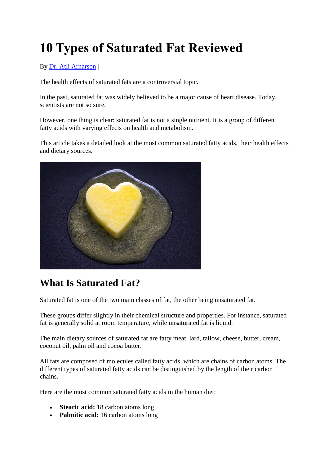# **10 Types of Saturated Fat Reviewed**

By [Dr. Atli Arnarson](https://authoritynutrition.com/author/atli/) *|*

The health effects of saturated fats are a controversial topic.

In the past, saturated fat was widely believed to be a major cause of heart disease. Today, scientists are not so sure.

However, one thing is clear: saturated fat is not a single nutrient. It is a group of different fatty acids with varying effects on health and metabolism.

This article takes a detailed look at the most common saturated fatty acids, their health effects and dietary sources.



# **What Is Saturated Fat?**

Saturated fat is one of the two main classes of fat, the other being unsaturated fat.

These groups differ slightly in their chemical structure and properties. For instance, saturated fat is generally solid at room temperature, while unsaturated fat is liquid.

The main dietary sources of saturated fat are fatty meat, lard, tallow, cheese, butter, cream, coconut oil, palm oil and cocoa butter.

All fats are composed of molecules called fatty acids, which are chains of carbon atoms. The different types of saturated fatty acids can be distinguished by the length of their carbon chains.

Here are the most common saturated fatty acids in the human diet:

- **Stearic acid:** 18 carbon atoms long
- Palmitic acid: 16 carbon atoms long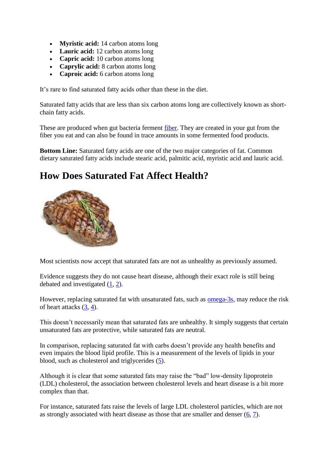- **Myristic acid:** 14 carbon atoms long
- Lauric acid: 12 carbon atoms long
- **Capric acid:** 10 carbon atoms long
- **Caprylic acid:** 8 carbon atoms long
- **Caproic acid:** 6 carbon atoms long

It's rare to find saturated fatty acids other than these in the diet.

Saturated fatty acids that are less than six carbon atoms long are collectively known as shortchain fatty acids.

These are produced when gut bacteria ferment [fiber.](https://authoritynutrition.com/why-is-fiber-good-for-you/) They are created in your gut from the fiber you eat and can also be found in trace amounts in some fermented food products.

**Bottom Line:** Saturated fatty acids are one of the two major categories of fat. Common dietary saturated fatty acids include stearic acid, palmitic acid, myristic acid and lauric acid.

#### **How Does Saturated Fat Affect Health?**



Most scientists now accept that saturated fats are not as unhealthy as previously assumed.

Evidence suggests they do not cause heart disease, although their exact role is still being debated and investigated [\(1,](https://www.ncbi.nlm.nih.gov/pubmed/20071648) [2\)](https://www.ncbi.nlm.nih.gov/pubmed/24723079).

However, replacing saturated fat with unsaturated fats, such as [omega-3s,](https://authoritynutrition.com/17-health-benefits-of-omega-3/) may reduce the risk of heart attacks [\(3,](https://www.ncbi.nlm.nih.gov/pubmed/21735388) [4\)](https://www.ncbi.nlm.nih.gov/pubmed/20351774).

This doesn't necessarily mean that saturated fats are unhealthy. It simply suggests that certain unsaturated fats are protective, while saturated fats are neutral.

In comparison, replacing saturated fat with carbs doesn't provide any health benefits and even impairs the blood lipid profile. This is a measurement of the levels of lipids in your blood, such as cholesterol and triglycerides [\(5\)](https://www.ncbi.nlm.nih.gov/pubmed/20711693).

Although it is clear that some saturated fats may raise the "bad" low-density lipoprotein (LDL) cholesterol, the association between cholesterol levels and heart disease is a bit more complex than that.

For instance, saturated fats raise the levels of large LDL cholesterol particles, which are not as strongly associated with heart disease as those that are smaller and denser [\(6,](https://www.ncbi.nlm.nih.gov/pubmed/9583838) [7\)](https://www.ncbi.nlm.nih.gov/pubmed/10856769).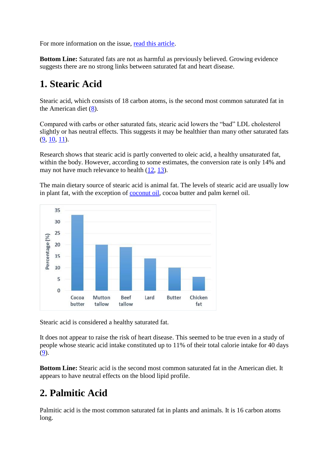For more information on the issue, [read this article.](https://authoritynutrition.com/saturated-fat-good-or-bad/)

**Bottom Line:** Saturated fats are not as harmful as previously believed. Growing evidence suggests there are no strong links between saturated fat and heart disease.

#### **1. Stearic Acid**

Stearic acid, which consists of 18 carbon atoms, is the second most common saturated fat in the American diet [\(8\)](https://www.ncbi.nlm.nih.gov/pubmed/15587902).

Compared with carbs or other saturated fats, stearic acid lowers the "bad" LDL cholesterol slightly or has neutral effects. This suggests it may be healthier than many other saturated fats [\(9,](https://www.ncbi.nlm.nih.gov/pubmed/19939984) [10,](https://www.ncbi.nlm.nih.gov/pubmed/16477803) [11\)](https://www.ncbi.nlm.nih.gov/pubmed/12716665).

Research shows that stearic acid is partly converted to oleic acid, a healthy unsaturated fat, within the body. However, according to some estimates, the conversion rate is only 14% and may not have much relevance to health [\(12,](https://www.ncbi.nlm.nih.gov/pubmed/3362176) [13\)](https://www.ncbi.nlm.nih.gov/pubmed/9022530).

The main dietary source of stearic acid is animal fat. The levels of stearic acid are usually low in plant fat, with the exception of [coconut oil,](https://authoritynutrition.com/top-10-evidence-based-health-benefits-of-coconut-oil/) cocoa butter and palm kernel oil.



Stearic acid is considered a healthy saturated fat.

It does not appear to raise the risk of heart disease. This seemed to be true even in a study of people whose stearic acid intake constituted up to 11% of their total calorie intake for 40 days [\(9\)](https://www.ncbi.nlm.nih.gov/pubmed/19939984).

**Bottom Line:** Stearic acid is the second most common saturated fat in the American diet. It appears to have neutral effects on the blood lipid profile.

## **2. Palmitic Acid**

Palmitic acid is the most common saturated fat in plants and animals. It is 16 carbon atoms long.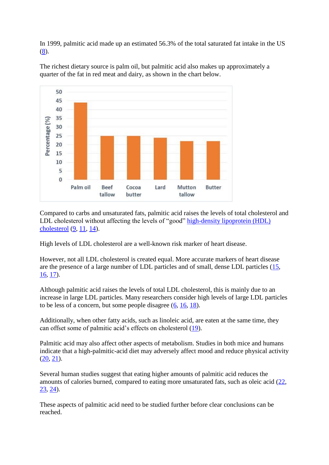In 1999, palmitic acid made up an estimated 56.3% of the total saturated fat intake in the US  $(8)$ .



The richest dietary source is palm oil, but palmitic acid also makes up approximately a quarter of the fat in red meat and dairy, as shown in the chart below.

Compared to carbs and unsaturated fats, palmitic acid raises the levels of total cholesterol and LDL cholesterol without affecting the levels of "good" high-density lipoprotein (HDL) [cholesterol](https://authoritynutrition.com/9-ways-to-raise-hdl/) [\(9,](https://www.ncbi.nlm.nih.gov/pubmed/19939984) [11,](https://www.ncbi.nlm.nih.gov/pubmed/12716665) [14\)](https://www.ncbi.nlm.nih.gov/pubmed/8148355).

High levels of LDL cholesterol are a well-known risk marker of heart disease.

However, not all LDL cholesterol is created equal. More accurate markers of heart disease are the presence of a large number of LDL particles and of small, dense LDL particles [\(15,](https://www.ncbi.nlm.nih.gov/pubmed/10856769) [16,](https://www.ncbi.nlm.nih.gov/pubmed/21392724) [17\)](https://www.ncbi.nlm.nih.gov/pubmed/18706278).

Although palmitic acid raises the levels of total LDL cholesterol, this is mainly due to an increase in large LDL particles. Many researchers consider high levels of large LDL particles to be less of a concern, but some people disagree [\(6,](https://www.ncbi.nlm.nih.gov/pubmed/9583838) [16,](https://www.ncbi.nlm.nih.gov/pubmed/21392724) [18\)](https://www.ncbi.nlm.nih.gov/pubmed/16765964).

Additionally, when other fatty acids, such as linoleic acid, are eaten at the same time, they can offset some of palmitic acid's effects on cholesterol [\(19\)](https://www.ncbi.nlm.nih.gov/pubmed/12492626).

Palmitic acid may also affect other aspects of metabolism. Studies in both mice and humans indicate that a high-palmitic-acid diet may adversely affect mood and reduce physical activity  $(20, 21)$  $(20, 21)$ .

Several human studies suggest that eating higher amounts of palmitic acid reduces the amounts of calories burned, compared to eating more unsaturated fats, such as oleic acid [\(22,](https://www.ncbi.nlm.nih.gov/pubmed/16087974) [23,](https://www.ncbi.nlm.nih.gov/pubmed/16919541) [24\)](https://www.ncbi.nlm.nih.gov/pubmed/17636080).

These aspects of palmitic acid need to be studied further before clear conclusions can be reached.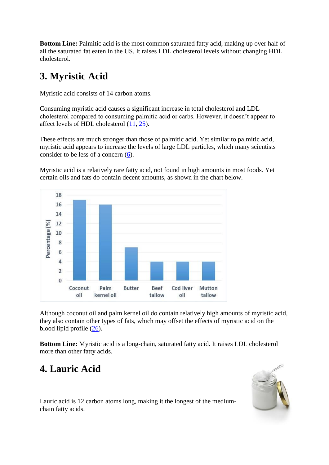**Bottom Line:** Palmitic acid is the most common saturated fatty acid, making up over half of all the saturated fat eaten in the US. It raises LDL cholesterol levels without changing HDL cholesterol.

## **3. Myristic Acid**

Myristic acid consists of 14 carbon atoms.

Consuming myristic acid causes a significant increase in total cholesterol and LDL cholesterol compared to consuming palmitic acid or carbs. However, it doesn't appear to affect levels of HDL cholesterol [\(11,](https://www.ncbi.nlm.nih.gov/pubmed/12716665) [25\)](https://www.ncbi.nlm.nih.gov/pubmed/8148355).

These effects are much stronger than those of palmitic acid. Yet similar to palmitic acid, myristic acid appears to increase the levels of large LDL particles, which many scientists consider to be less of a concern [\(6\)](https://www.ncbi.nlm.nih.gov/pubmed/9583838).

Myristic acid is a relatively rare fatty acid, not found in high amounts in most foods. Yet certain oils and fats do contain decent amounts, as shown in the chart below.



Although coconut oil and palm kernel oil do contain relatively high amounts of myristic acid, they also contain other types of fats, which may offset the effects of myristic acid on the blood lipid profile [\(26\)](https://www.ncbi.nlm.nih.gov/pubmed/15936650).

**Bottom Line:** Myristic acid is a long-chain, saturated fatty acid. It raises LDL cholesterol more than other fatty acids.

# **4. Lauric Acid**



Lauric acid is 12 carbon atoms long, making it the longest of the mediumchain fatty acids.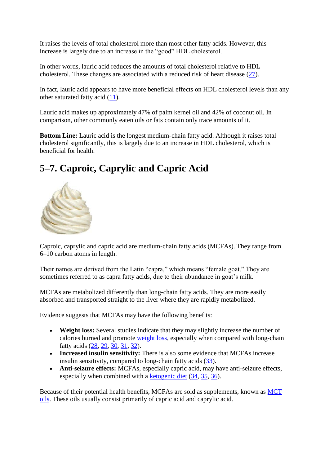It raises the levels of total cholesterol more than most other fatty acids. However, this increase is largely due to an increase in the "good" HDL cholesterol.

In other words, lauric acid reduces the amounts of total cholesterol relative to HDL cholesterol. These changes are associated with a reduced risk of heart disease [\(27\)](https://www.ncbi.nlm.nih.gov/pubmed/8644684).

In fact, lauric acid appears to have more beneficial effects on HDL cholesterol levels than any other saturated fatty acid [\(11\)](https://www.ncbi.nlm.nih.gov/pubmed/12716665).

Lauric acid makes up approximately 47% of palm kernel oil and 42% of coconut oil. In comparison, other commonly eaten oils or fats contain only trace amounts of it.

**Bottom Line:** Lauric acid is the longest medium-chain fatty acid. Although it raises total cholesterol significantly, this is largely due to an increase in HDL cholesterol, which is beneficial for health.

# **5–7. Caproic, Caprylic and Capric Acid**



Caproic, caprylic and capric acid are medium-chain fatty acids (MCFAs). They range from 6–10 carbon atoms in length.

Their names are derived from the Latin "capra," which means "female goat." They are sometimes referred to as capra fatty acids, due to their abundance in goat's milk.

MCFAs are metabolized differently than long-chain fatty acids. They are more easily absorbed and transported straight to the liver where they are rapidly metabolized.

Evidence suggests that MCFAs may have the following benefits:

- **Weight loss:** Several studies indicate that they may slightly increase the number of calories burned and promote [weight loss,](https://authoritynutrition.com/how-to-lose-weight-as-fast-as-possible/) especially when compared with long-chain fatty acids [\(28,](https://www.ncbi.nlm.nih.gov/pubmed/25636220) [29,](https://www.ncbi.nlm.nih.gov/pubmed/11880549) [30,](https://www.ncbi.nlm.nih.gov/pubmed/8654328) [31,](https://www.ncbi.nlm.nih.gov/pubmed/12634436) [32\)](https://www.ncbi.nlm.nih.gov/pubmed/11694608).
- **Increased insulin sensitivity:** There is also some evidence that MCFAs increase insulin sensitivity, compared to long-chain fatty acids [\(33\)](https://www.ncbi.nlm.nih.gov/pubmed/17570262).
- **Anti-seizure effects:** MCFAs, especially capric acid, may have anti-seizure effects, especially when combined with a [ketogenic diet](https://authoritynutrition.com/ketogenic-diet-101/) [\(34,](https://www.ncbi.nlm.nih.gov/pubmed/20487176) [35,](https://www.ncbi.nlm.nih.gov/pubmed/26608744) [36\)](https://www.ncbi.nlm.nih.gov/pubmed/24383952).

Because of their potential health benefits, MCFAs are sold as supplements, known as [MCT](https://authoritynutrition.com/mct-oil-101/)  [oils.](https://authoritynutrition.com/mct-oil-101/) These oils usually consist primarily of capric acid and caprylic acid.